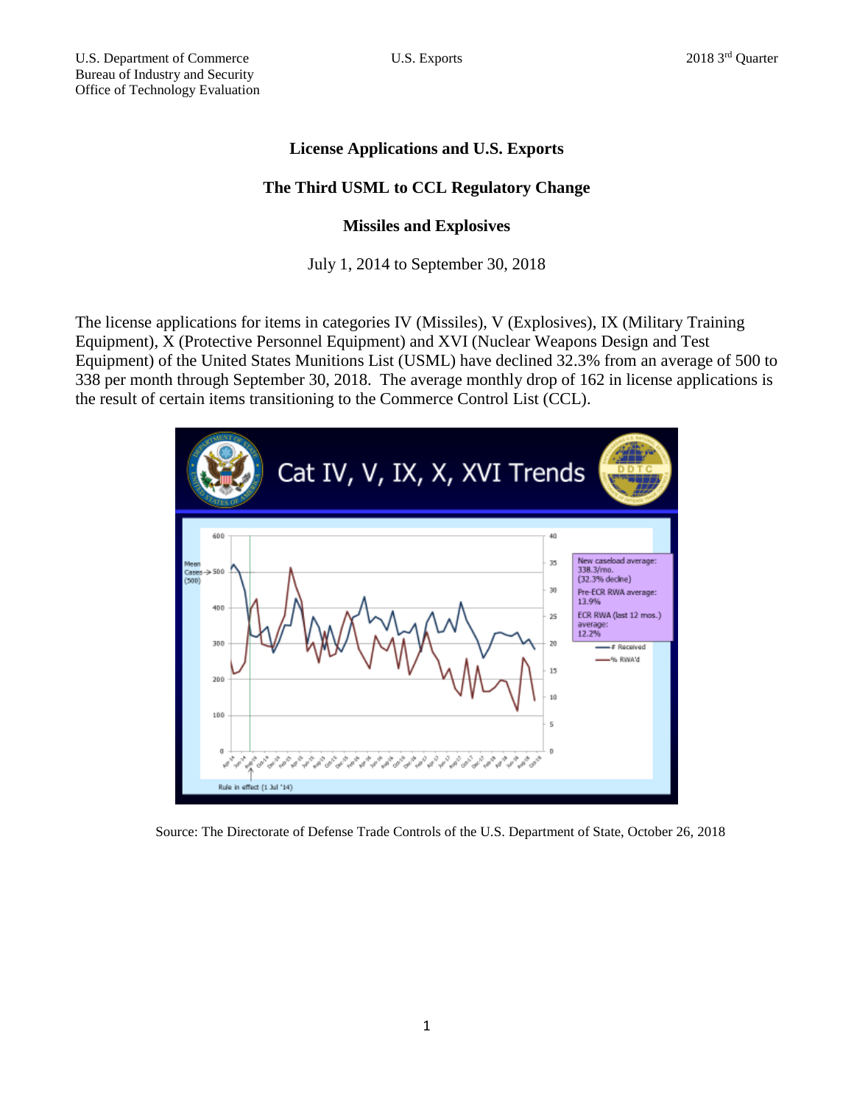# **License Applications and U.S. Exports**

## **The Third USML to CCL Regulatory Change**

### **Missiles and Explosives**

#### July 1, 2014 to September 30, 2018

The license applications for items in categories IV (Missiles), V (Explosives), IX (Military Training Equipment), X (Protective Personnel Equipment) and XVI (Nuclear Weapons Design and Test Equipment) of the United States Munitions List (USML) have declined 32.3% from an average of 500 to 338 per month through September 30, 2018. The average monthly drop of 162 in license applications is the result of certain items transitioning to the Commerce Control List (CCL).



Source: The Directorate of Defense Trade Controls of the U.S. Department of State, October 26, 2018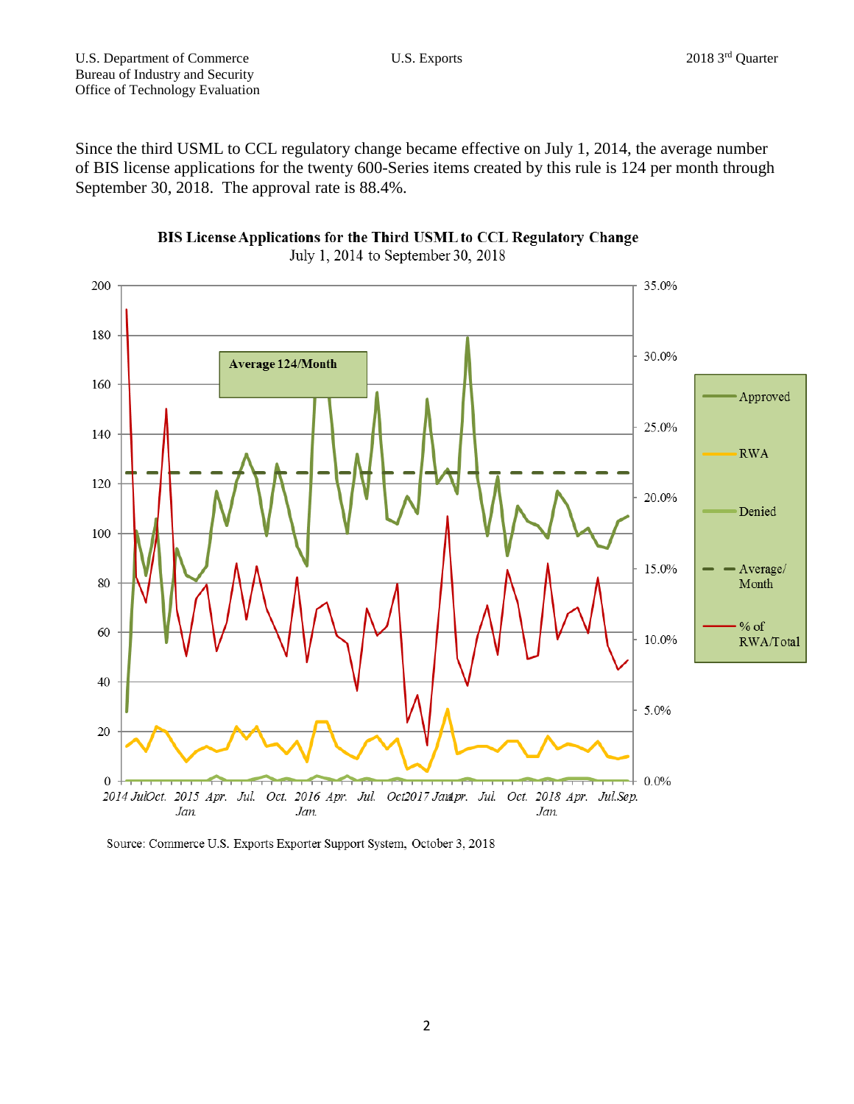Since the third USML to CCL regulatory change became effective on July 1, 2014, the average number of BIS license applications for the twenty 600-Series items created by this rule is 124 per month through September 30, 2018. The approval rate is 88.4%.





Source: Commerce U.S. Exports Exporter Support System, October 3, 2018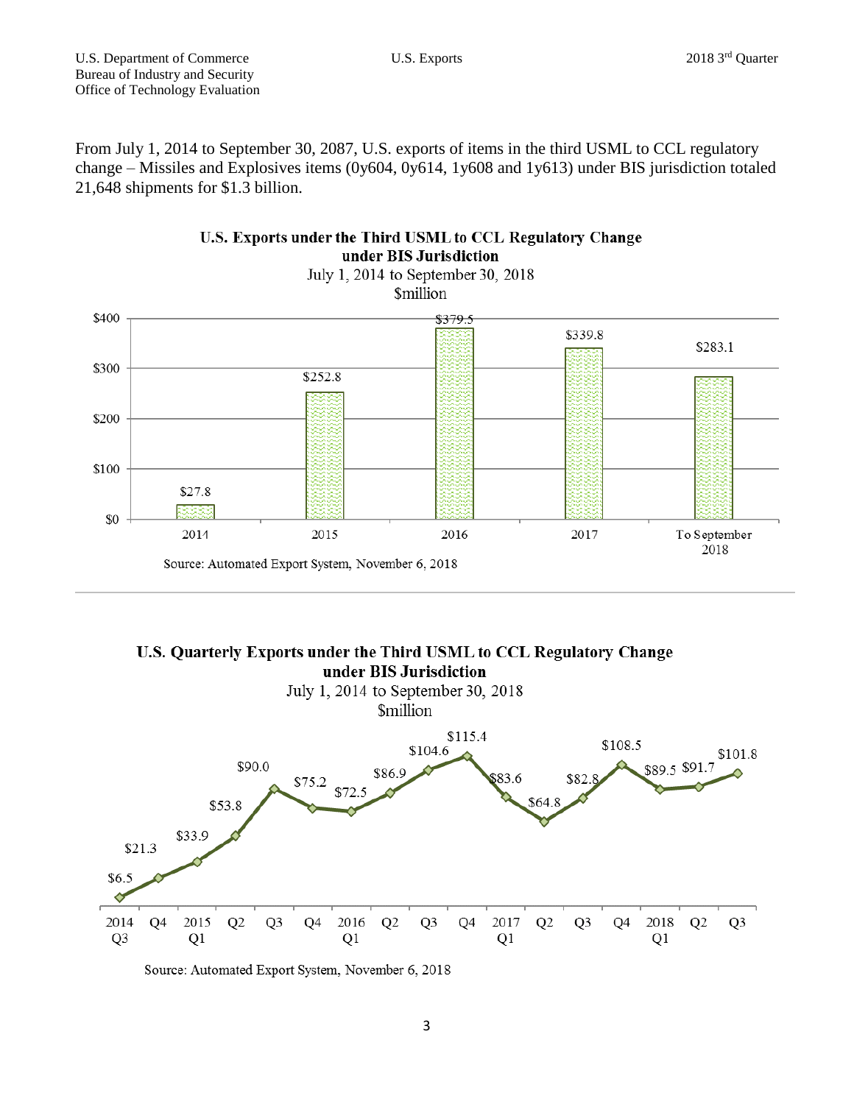From July 1, 2014 to September 30, 2087, U.S. exports of items in the third USML to CCL regulatory change – Missiles and Explosives items (0y604, 0y614, 1y608 and 1y613) under BIS jurisdiction totaled 21,648 shipments for \$1.3 billion.



July 1, 2014 to September 30, 2018 **Smillion** 



Source: Automated Export System, November 6, 2018



Source: Automated Export System, November 6, 2018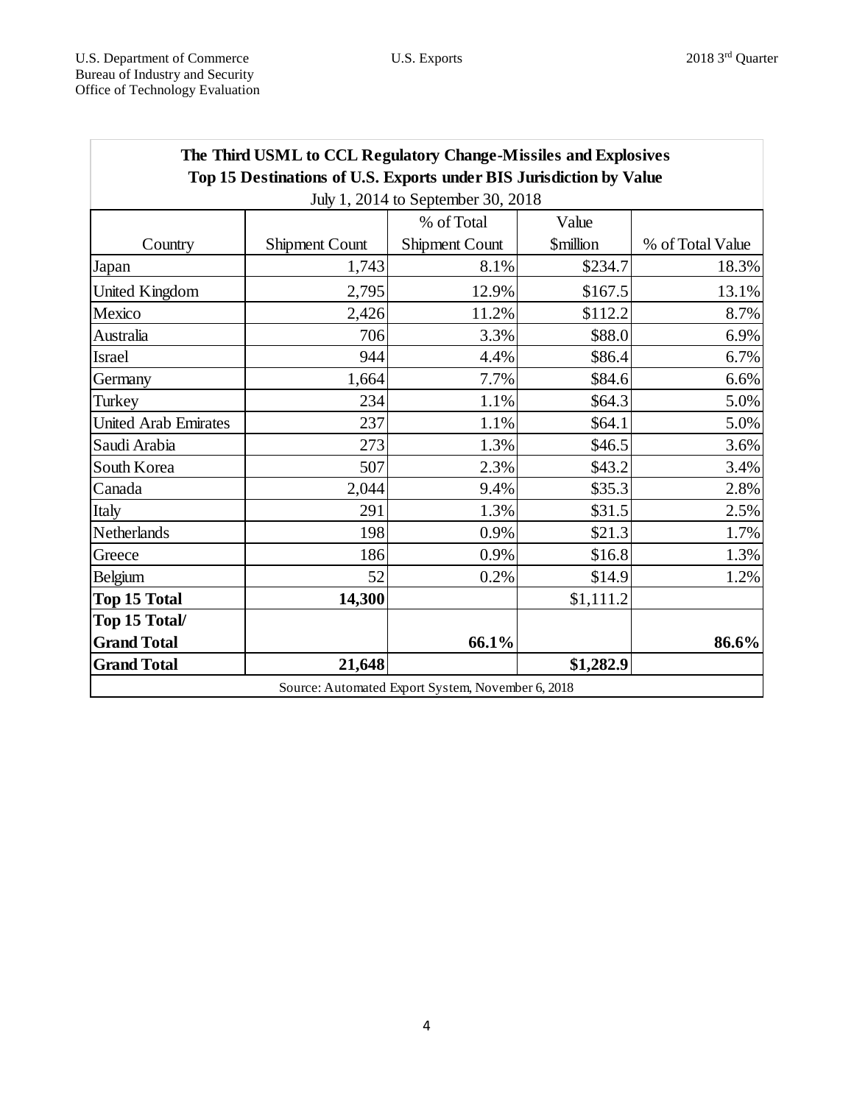| The Third USML to CCL Regulatory Change-Missiles and Explosives     |                       |                |                               |                  |
|---------------------------------------------------------------------|-----------------------|----------------|-------------------------------|------------------|
| Top 15 Destinations of U.S. Exports under BIS Jurisdiction by Value |                       |                |                               |                  |
| July 1, 2014 to September 30, 2018                                  |                       |                |                               |                  |
|                                                                     |                       | % of Total     | Value                         |                  |
| Country                                                             | <b>Shipment Count</b> | Shipment Count | <b><i><u>Smillion</u></i></b> | % of Total Value |
| Japan                                                               | 1,743                 | 8.1%           | \$234.7                       | 18.3%            |
| United Kingdom                                                      | 2,795                 | 12.9%          | \$167.5                       | 13.1%            |
| Mexico                                                              | 2,426                 | 11.2%          | \$112.2                       | 8.7%             |
| Australia                                                           | 706                   | 3.3%           | \$88.0                        | 6.9%             |
| <b>Israel</b>                                                       | 944                   | 4.4%           | \$86.4                        | 6.7%             |
| Germany                                                             | 1,664                 | 7.7%           | \$84.6                        | 6.6%             |
| Turkey                                                              | 234                   | 1.1%           | \$64.3                        | 5.0%             |
| <b>United Arab Emirates</b>                                         | 237                   | 1.1%           | \$64.1                        | 5.0%             |
| Saudi Arabia                                                        | 273                   | 1.3%           | \$46.5                        | 3.6%             |
| South Korea                                                         | 507                   | 2.3%           | \$43.2                        | 3.4%             |
| Canada                                                              | 2,044                 | 9.4%           | \$35.3                        | 2.8%             |
| Italy                                                               | 291                   | 1.3%           | \$31.5                        | 2.5%             |
| Netherlands                                                         | 198                   | 0.9%           | \$21.3                        | 1.7%             |
| Greece                                                              | 186                   | 0.9%           | \$16.8                        | 1.3%             |
| Belgium                                                             | 52                    | 0.2%           | \$14.9                        | 1.2%             |
| <b>Top 15 Total</b>                                                 | 14,300                |                | \$1,111.2                     |                  |
| Top 15 Total/                                                       |                       |                |                               |                  |
| <b>Grand Total</b>                                                  |                       | 66.1%          |                               | 86.6%            |
| <b>Grand Total</b>                                                  | 21,648                |                | \$1,282.9                     |                  |
| Source: Automated Export System, November 6, 2018                   |                       |                |                               |                  |